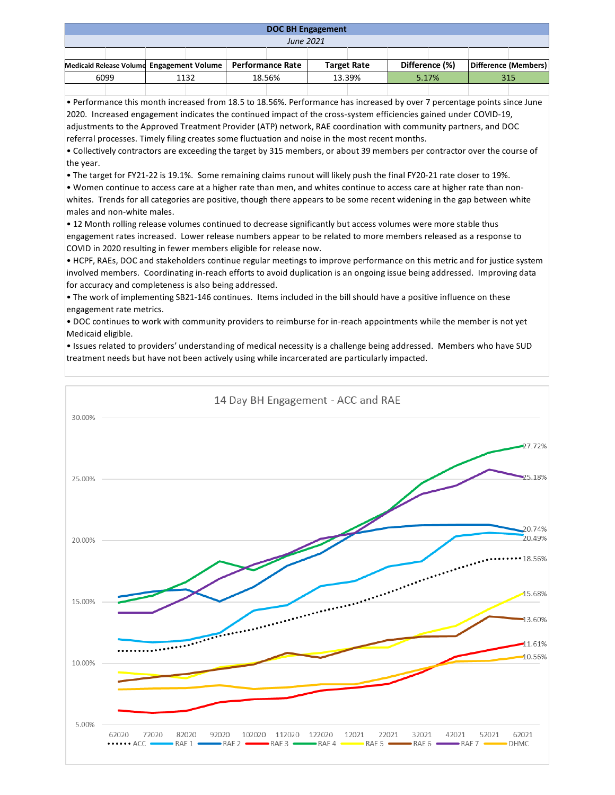| <b>DOC BH Engagement</b>                  |  |      |  |                         |  |                    |  |                |  |                      |  |
|-------------------------------------------|--|------|--|-------------------------|--|--------------------|--|----------------|--|----------------------|--|
| June 2021                                 |  |      |  |                         |  |                    |  |                |  |                      |  |
|                                           |  |      |  |                         |  |                    |  |                |  |                      |  |
| Medicaid Release Volume Engagement Volume |  |      |  | <b>Performance Rate</b> |  | <b>Target Rate</b> |  | Difference (%) |  | Difference (Members) |  |
| 6099                                      |  | 1132 |  | 18.56%                  |  | 13.39%             |  | 5.17%          |  | 315                  |  |
|                                           |  |      |  |                         |  |                    |  |                |  |                      |  |

• Performance this month increased from 18.5 to 18.56%. Performance has increased by over 7 percentage points since June 2020. Increased engagement indicates the continued impact of the cross-system efficiencies gained under COVID-19, adjustments to the Approved Treatment Provider (ATP) network, RAE coordination with community partners, and DOC referral processes. Timely filing creates some fluctuation and noise in the most recent months.

• Collectively contractors are exceeding the target by 315 members, or about 39 members per contractor over the course of the year.

• The target for FY21-22 is 19.1%. Some remaining claims runout will likely push the final FY20-21 rate closer to 19%.

• Women continue to access care at a higher rate than men, and whites continue to access care at higher rate than nonwhites. Trends for all categories are positive, though there appears to be some recent widening in the gap between white males and non-white males.

• 12 Month rolling release volumes continued to decrease significantly but access volumes were more stable thus engagement rates increased. Lower release numbers appear to be related to more members released as a response to COVID in 2020 resulting in fewer members eligible for release now.

• HCPF, RAEs, DOC and stakeholders continue regular meetings to improve performance on this metric and for justice system involved members. Coordinating in-reach efforts to avoid duplication is an ongoing issue being addressed. Improving data for accuracy and completeness is also being addressed.

• The work of implementing SB21-146 continues. Items included in the bill should have a positive influence on these engagement rate metrics.

• DOC continues to work with community providers to reimburse for in-reach appointments while the member is not yet Medicaid eligible.

• Issues related to providers' understanding of medical necessity is a challenge being addressed. Members who have SUD treatment needs but have not been actively using while incarcerated are particularly impacted.

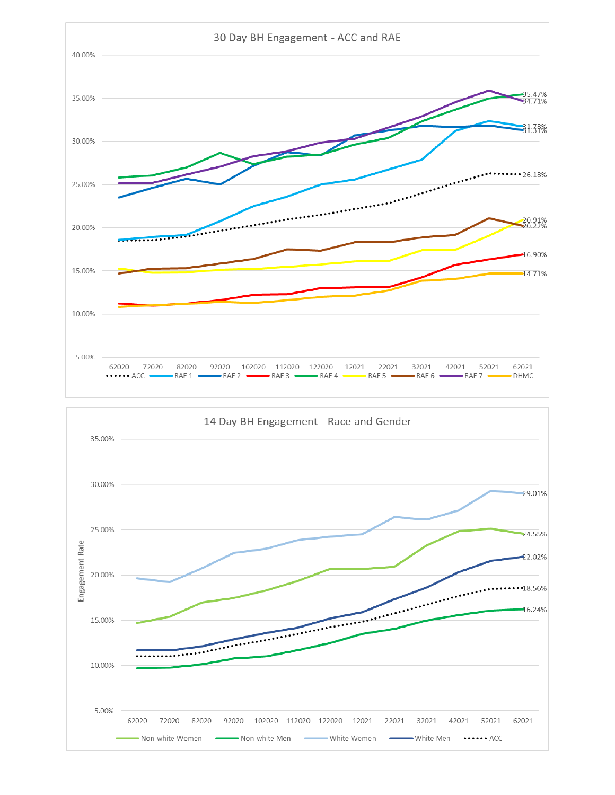